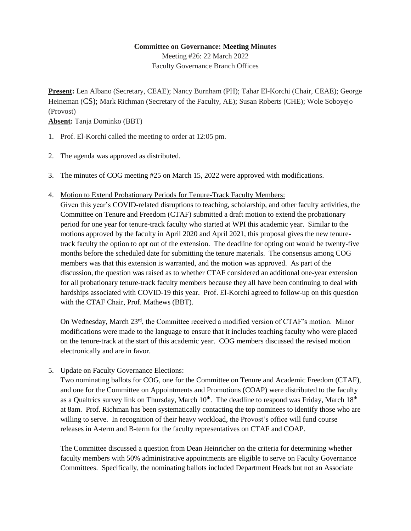## **Committee on Governance: Meeting Minutes**

Meeting #26: 22 March 2022 Faculty Governance Branch Offices

**Present:** Len Albano (Secretary, CEAE); Nancy Burnham (PH); Tahar El-Korchi (Chair, CEAE); George Heineman (CS); Mark Richman (Secretary of the Faculty, AE); Susan Roberts (CHE); Wole Soboyejo (Provost)

**Absent:** Tanja Dominko (BBT)

- 1. Prof. El-Korchi called the meeting to order at 12:05 pm.
- 2. The agenda was approved as distributed.
- 3. The minutes of COG meeting #25 on March 15, 2022 were approved with modifications.
- 4. Motion to Extend Probationary Periods for Tenure-Track Faculty Members:

Given this year's COVID-related disruptions to teaching, scholarship, and other faculty activities, the Committee on Tenure and Freedom (CTAF) submitted a draft motion to extend the probationary period for one year for tenure-track faculty who started at WPI this academic year. Similar to the motions approved by the faculty in April 2020 and April 2021, this proposal gives the new tenuretrack faculty the option to opt out of the extension. The deadline for opting out would be twenty-five months before the scheduled date for submitting the tenure materials. The consensus among COG members was that this extension is warranted, and the motion was approved. As part of the discussion, the question was raised as to whether CTAF considered an additional one-year extension for all probationary tenure-track faculty members because they all have been continuing to deal with hardships associated with COVID-19 this year. Prof. El-Korchi agreed to follow-up on this question with the CTAF Chair, Prof. Mathews (BBT).

On Wednesday, March 23rd, the Committee received a modified version of CTAF's motion. Minor modifications were made to the language to ensure that it includes teaching faculty who were placed on the tenure-track at the start of this academic year. COG members discussed the revised motion electronically and are in favor.

5. Update on Faculty Governance Elections:

Two nominating ballots for COG, one for the Committee on Tenure and Academic Freedom (CTAF), and one for the Committee on Appointments and Promotions (COAP) were distributed to the faculty as a Qualtrics survey link on Thursday, March  $10^{th}$ . The deadline to respond was Friday, March  $18^{th}$ at 8am. Prof. Richman has been systematically contacting the top nominees to identify those who are willing to serve. In recognition of their heavy workload, the Provost's office will fund course releases in A-term and B-term for the faculty representatives on CTAF and COAP.

The Committee discussed a question from Dean Heinricher on the criteria for determining whether faculty members with 50% administrative appointments are eligible to serve on Faculty Governance Committees. Specifically, the nominating ballots included Department Heads but not an Associate